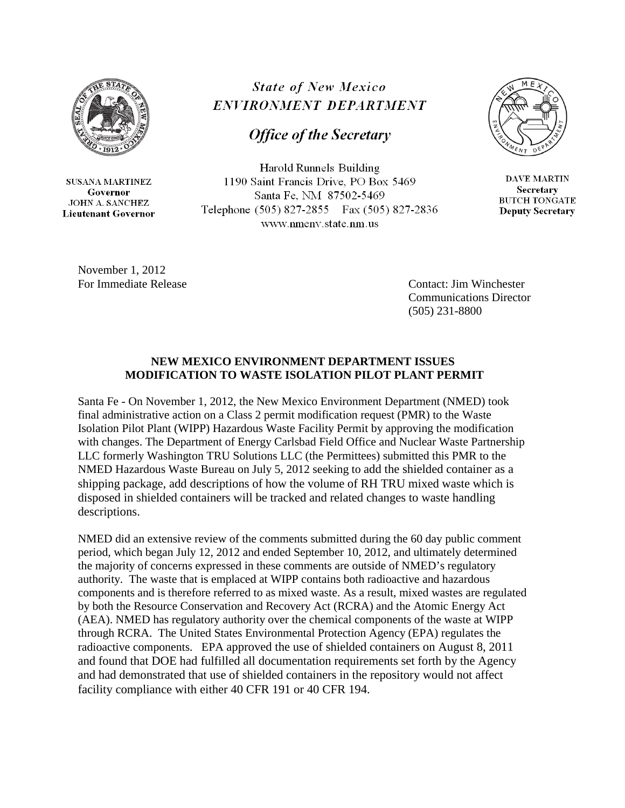

**SUSANA MARTINEZ** Governor **JOHN A. SANCHEZ Lieutenant Governor** 

## **State of New Mexico** ENVIRONMENT DEPARTMENT

## **Office of the Secretary**

Harold Runnels Building 1190 Saint Francis Drive, PO Box 5469 Santa Fe, NM 87502-5469 Telephone (505) 827-2855 Fax (505) 827-2836 www.nmenv.state.nm.us



**DAVE MARTIN Secretary BUTCH TONGATE Deputy Secretary** 

November 1, 2012

 For Immediate Release Contact: Jim Winchester Communications Director (505) 231-8800

## **NEW MEXICO ENVIRONMENT DEPARTMENT ISSUES MODIFICATION TO WASTE ISOLATION PILOT PLANT PERMIT**

Santa Fe - On November 1, 2012, the New Mexico Environment Department (NMED) took final administrative action on a Class 2 permit modification request (PMR) to the Waste Isolation Pilot Plant (WIPP) Hazardous Waste Facility Permit by approving the modification with changes. The Department of Energy Carlsbad Field Office and Nuclear Waste Partnership LLC formerly Washington TRU Solutions LLC (the Permittees) submitted this PMR to the NMED Hazardous Waste Bureau on July 5, 2012 seeking to add the shielded container as a shipping package, add descriptions of how the volume of RH TRU mixed waste which is disposed in shielded containers will be tracked and related changes to waste handling descriptions.

NMED did an extensive review of the comments submitted during the 60 day public comment period, which began July 12, 2012 and ended September 10, 2012, and ultimately determined the majority of concerns expressed in these comments are outside of NMED's regulatory authority. The waste that is emplaced at WIPP contains both radioactive and hazardous components and is therefore referred to as mixed waste. As a result, mixed wastes are regulated by both the Resource Conservation and Recovery Act (RCRA) and the Atomic Energy Act (AEA). NMED has regulatory authority over the chemical components of the waste at WIPP through RCRA. The United States Environmental Protection Agency (EPA) regulates the radioactive components. EPA approved the use of shielded containers on August 8, 2011 and found that DOE had fulfilled all documentation requirements set forth by the Agency and had demonstrated that use of shielded containers in the repository would not affect facility compliance with either 40 CFR 191 or 40 CFR 194.